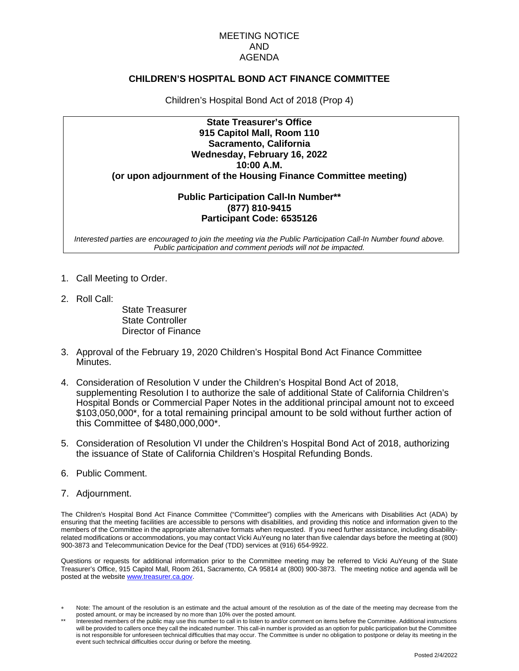#### MEETING NOTICE AND AGENDA

#### **CHILDREN'S HOSPITAL BOND ACT FINANCE COMMITTEE**

Children's Hospital Bond Act of 2018 (Prop 4)

## **State Treasurer's Office 915 Capitol Mall, Room 110 Sacramento, California Wednesday, February 16, 2022 10:00 A.M. (or upon adjournment of the Housing Finance Committee meeting)**

### **Public Participation Call-In Number\*\* (877) 810-9415 Participant Code: 6535126**

*Interested parties are encouraged to join the meeting via the Public Participation Call-In Number found above. Public participation and comment periods will not be impacted.*

- 1. Call Meeting to Order.
- 2. Roll Call:

State Treasurer State Controller Director of Finance

- 3. Approval of the February 19, 2020 Children's Hospital Bond Act Finance Committee Minutes.
- 4. Consideration of Resolution V under the Children's Hospital Bond Act of 2018, supplementing Resolution I to authorize the sale of additional State of California Children's Hospital Bonds or Commercial Paper Notes in the additional principal amount not to exceed \$103,050,000\*, for a total remaining principal amount to be sold without further action of this Committee of \$480,000,000\*.
- 5. Consideration of Resolution VI under the Children's Hospital Bond Act of 2018, authorizing the issuance of State of California Children's Hospital Refunding Bonds.
- 6. Public Comment.
- 7. Adjournment.

The Children's Hospital Bond Act Finance Committee ("Committee") complies with the Americans with Disabilities Act (ADA) by ensuring that the meeting facilities are accessible to persons with disabilities, and providing this notice and information given to the members of the Committee in the appropriate alternative formats when requested. If you need further assistance, including disabilityrelated modifications or accommodations, you may contact Vicki AuYeung no later than five calendar days before the meeting at (800) 900-3873 and Telecommunication Device for the Deaf (TDD) services at (916) 654-9922.

Questions or requests for additional information prior to the Committee meeting may be referred to Vicki AuYeung of the State Treasurer's Office, 915 Capitol Mall, Room 261, Sacramento, CA 95814 at (800) 900-3873. The meeting notice and agenda will be posted at the website [www.treasurer.ca.gov.](http://www.treasurer.ca.gov/)

Note: The amount of the resolution is an estimate and the actual amount of the resolution as of the date of the meeting may decrease from the posted amount, or may be increased by no more than 10% over the posted amount.

Interested members of the public may use this number to call in to listen to and/or comment on items before the Committee. Additional instructions will be provided to callers once they call the indicated number. This call-in number is provided as an option for public participation but the Committee is not responsible for unforeseen technical difficulties that may occur. The Committee is under no obligation to postpone or delay its meeting in the event such technical difficulties occur during or before the meeting.